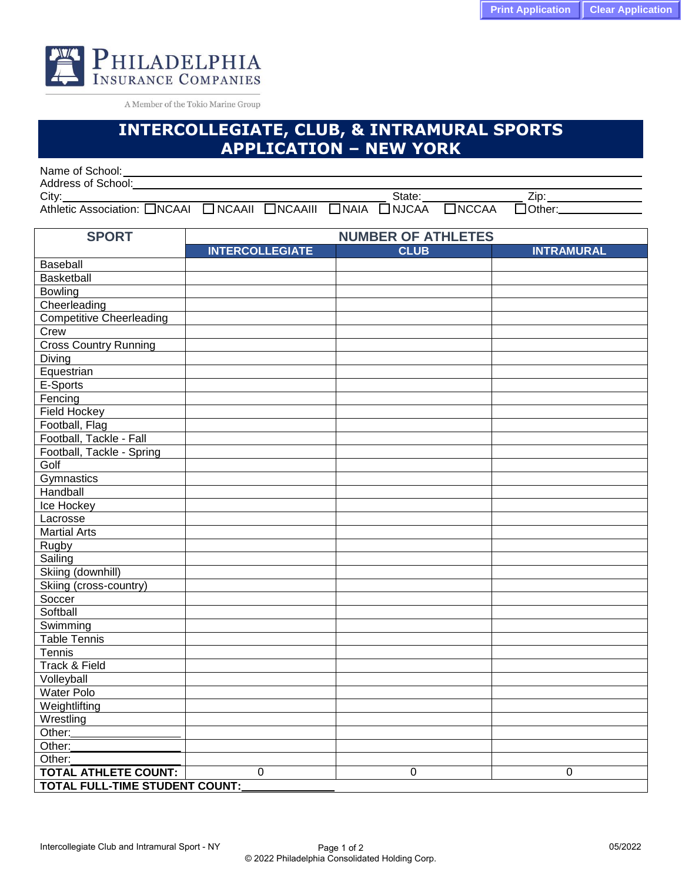

A Member of the Tokio Marine Group

## **INTERCOLLEGIATE, CLUB, & INTRAMURAL SPORTS APPLICATION – NEW YORK**

| Name of School:              |               |                |             |              |              |         |  |
|------------------------------|---------------|----------------|-------------|--------------|--------------|---------|--|
| Address of School:           |               |                |             |              |              |         |  |
| City:                        |               |                |             | State:       |              |         |  |
| Athletic Association: □NCAAI | $\Box$ NCAAII | $\Box$ NCAAIII | $\Box$ NAIA | $\Box$ NJCAA | $\Box$ NCCAA | :TOther |  |

| <b>SPORT</b>                          | <b>NUMBER OF ATHLETES</b> |             |                   |  |  |  |  |
|---------------------------------------|---------------------------|-------------|-------------------|--|--|--|--|
|                                       | <b>INTERCOLLEGIATE</b>    | <b>CLUB</b> | <b>INTRAMURAL</b> |  |  |  |  |
| Baseball                              |                           |             |                   |  |  |  |  |
| Basketball                            |                           |             |                   |  |  |  |  |
| <b>Bowling</b>                        |                           |             |                   |  |  |  |  |
| Cheerleading                          |                           |             |                   |  |  |  |  |
| <b>Competitive Cheerleading</b>       |                           |             |                   |  |  |  |  |
| Crew                                  |                           |             |                   |  |  |  |  |
| <b>Cross Country Running</b>          |                           |             |                   |  |  |  |  |
| Diving                                |                           |             |                   |  |  |  |  |
| Equestrian                            |                           |             |                   |  |  |  |  |
| E-Sports                              |                           |             |                   |  |  |  |  |
| Fencing                               |                           |             |                   |  |  |  |  |
| <b>Field Hockey</b>                   |                           |             |                   |  |  |  |  |
| Football, Flag                        |                           |             |                   |  |  |  |  |
| Football, Tackle - Fall               |                           |             |                   |  |  |  |  |
| Football, Tackle - Spring             |                           |             |                   |  |  |  |  |
| Golf                                  |                           |             |                   |  |  |  |  |
| Gymnastics                            |                           |             |                   |  |  |  |  |
| Handball                              |                           |             |                   |  |  |  |  |
| Ice Hockey                            |                           |             |                   |  |  |  |  |
| Lacrosse                              |                           |             |                   |  |  |  |  |
| <b>Martial Arts</b>                   |                           |             |                   |  |  |  |  |
| Rugby                                 |                           |             |                   |  |  |  |  |
| Sailing                               |                           |             |                   |  |  |  |  |
| Skiing (downhill)                     |                           |             |                   |  |  |  |  |
| Skiing (cross-country)                |                           |             |                   |  |  |  |  |
| Soccer                                |                           |             |                   |  |  |  |  |
| Softball                              |                           |             |                   |  |  |  |  |
| Swimming                              |                           |             |                   |  |  |  |  |
| <b>Table Tennis</b>                   |                           |             |                   |  |  |  |  |
| Tennis                                |                           |             |                   |  |  |  |  |
| Track & Field                         |                           |             |                   |  |  |  |  |
| Volleyball                            |                           |             |                   |  |  |  |  |
| <b>Water Polo</b>                     |                           |             |                   |  |  |  |  |
| Weightlifting                         |                           |             |                   |  |  |  |  |
| Wrestling                             |                           |             |                   |  |  |  |  |
| Other:                                |                           |             |                   |  |  |  |  |
| Other:                                |                           |             |                   |  |  |  |  |
| Other:                                |                           |             |                   |  |  |  |  |
| <b>TOTAL ATHLETE COUNT:</b>           | $\overline{0}$            | 0           | 0                 |  |  |  |  |
| <b>TOTAL FULL-TIME STUDENT COUNT:</b> |                           |             |                   |  |  |  |  |